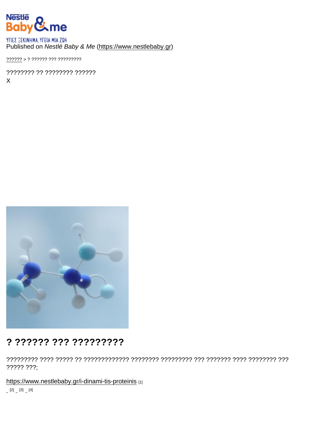Published on Nestlé Baby & Me [\(https://www.nestlebaby.gr](https://www.nestlebaby.gr))

[??????](https://www.nestlebaby.gr/) > ? ?????? ??? ?????????

???????? ?? ???????? ?????? X

# ? ?????? ??? ?????????

????????? ???? ????? ?? ????????????? ???????? ????????? ??? ??????? ???? ???????? ??? ????? ???;

<https://www.nestlebaby.gr/i-dinami-tis-proteinis> [1]

 $[2]$   $[3]$   $[4]$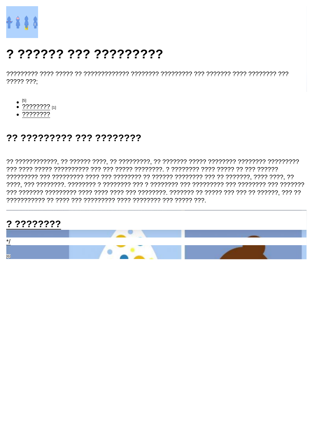# ? ?????? ??? ?????????

 $????? ???$ 

- $\bullet$  [5]<br> $\bullet$  ????????? [1]
- 
- $.77777777$

# ?? ????????? ??? ????????

## $? ? ? ? ? ? ? ? ? ? ? ?$

- $\frac{\ast}{\sqrt{2}}$
- $[6]$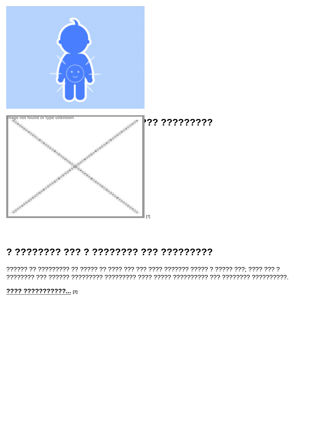$'$ ?????????

 $[7]$ 

#### 

 $???? ???????????$ ...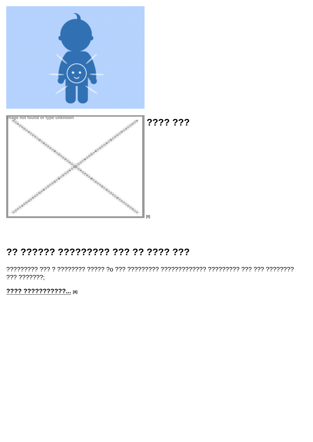'?? ???

 $[8]$ 

## ?? ?????? ????????? ??? ?? ???? ???

??? ???????;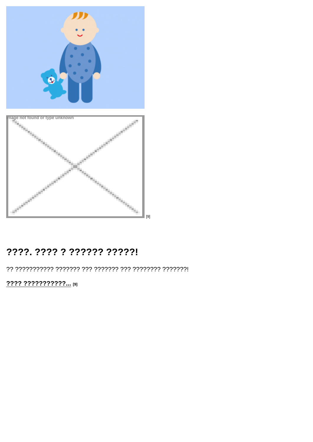$[9]$ 

# ????. ???? ? ?????? ?????!

???? ???????????... [9]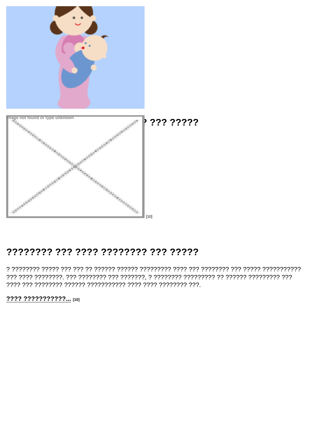?? ?????

 $[10]$ 

#### ???????? ??? ???? ???????? ??? ?????

???? ???????????... [10]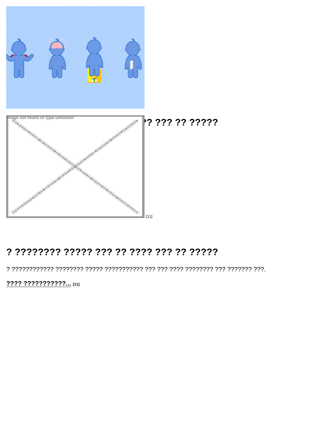#### ??? ?? ?????

 $[11]$ 

# 

???? ???????????... [11]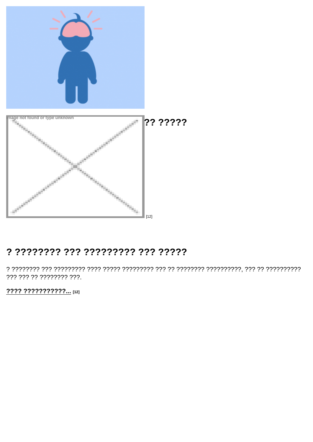?????

 $[12]$ 

## ? ???????? ??? ????????? ??? ?????

??? ??? ?? ???????? ???.

???? ???????????... [12]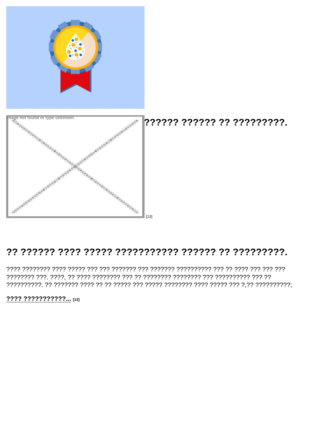???? ?????? ?? ?????????.

 $[13]$ 

#### 

???? ???????????... [13]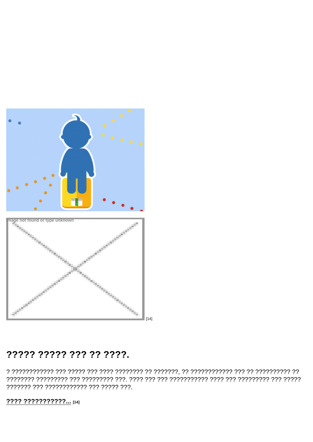$[14]$ 

# ????? ????? ??? ?? ????.

777777 777 777777777777 777 77777 777.

???? ???????????... [14]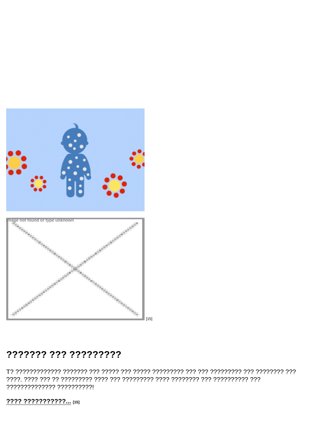$[15]$ 

# ??????? ??? ?????????

?????????????? ??????????!

???? ???????????... [15]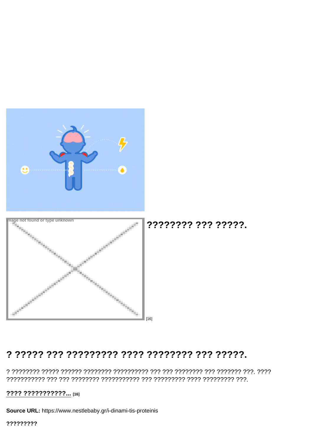'?????? ??? ?????.

 $[16]$ 

# 

???? ???????????... [16]

Source URL: https://www.nestlebaby.gr/i-dinami-tis-proteinis

?????????